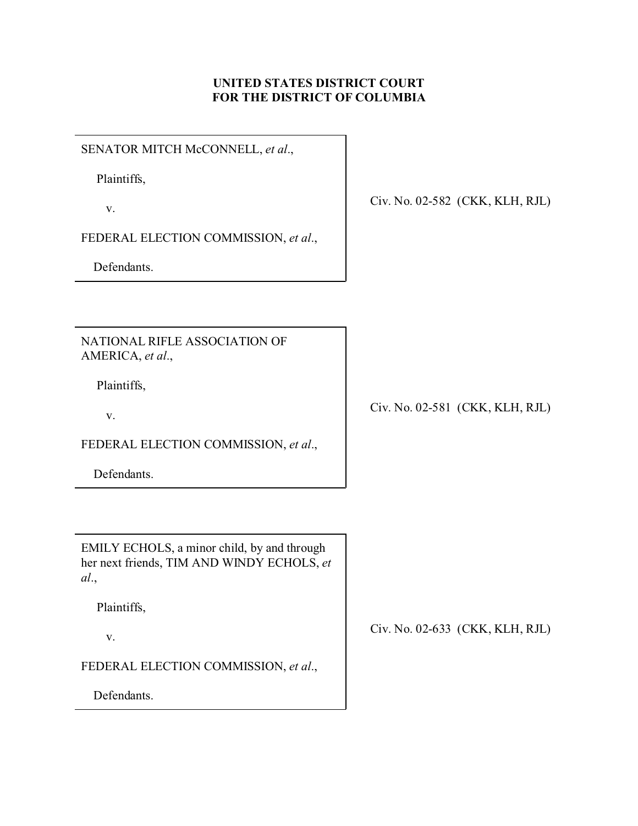## **UNITED STATES DISTRICT COURT FOR THE DISTRICT OF COLUMBIA**

SENATOR MITCH McCONNELL, *et al*.,

Plaintiffs,

v.

FEDERAL ELECTION COMMISSION, *et al*.,

Defendants.

Civ. No. 02-582 (CKK, KLH, RJL)

NATIONAL RIFLE ASSOCIATION OF AMERICA, *et al*.,

Plaintiffs,

v.

FEDERAL ELECTION COMMISSION, *et al*.,

Defendants.

Civ. No. 02-581 (CKK, KLH, RJL)

EMILY ECHOLS, a minor child, by and through her next friends, TIM AND WINDY ECHOLS, *et al*.,

Plaintiffs,

v.

FEDERAL ELECTION COMMISSION, *et al*.,

Defendants.

Civ. No. 02-633 (CKK, KLH, RJL)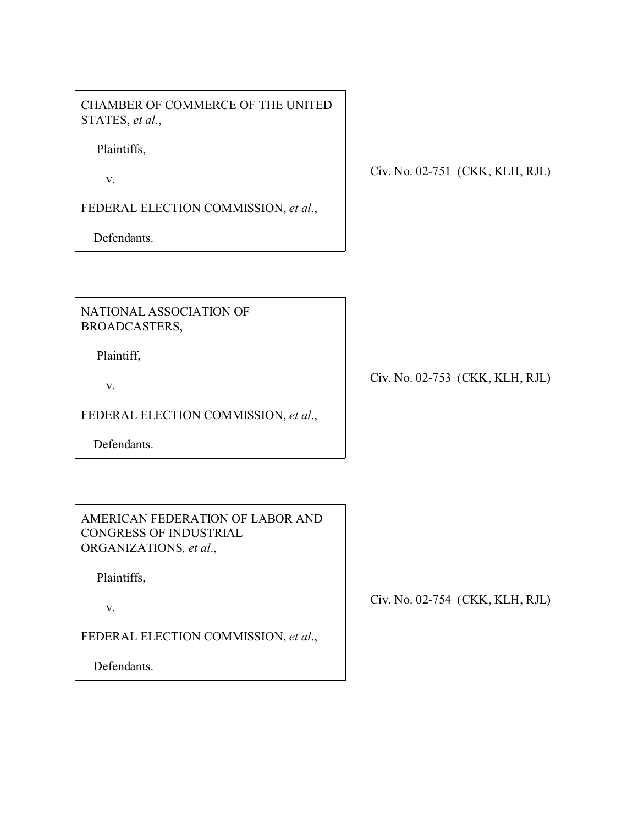CHAMBER OF COMMERCE OF THE UNITED STATES, *et al*.,

Plaintiffs,

v.

FEDERAL ELECTION COMMISSION, *et al*.,

Defendants.

Civ. No. 02-751 (CKK, KLH, RJL)

NATIONAL ASSOCIATION OF BROADCASTERS,

Plaintiff,

v.

FEDERAL ELECTION COMMISSION, *et al*.,

Defendants.

AMERICAN FEDERATION OF LABOR AND CONGRESS OF INDUSTRIAL ORGANIZATIONS*, et al*.,

Plaintiffs,

v.

FEDERAL ELECTION COMMISSION, *et al*.,

Defendants.

Civ. No. 02-753 (CKK, KLH, RJL)

Civ. No. 02-754 (CKK, KLH, RJL)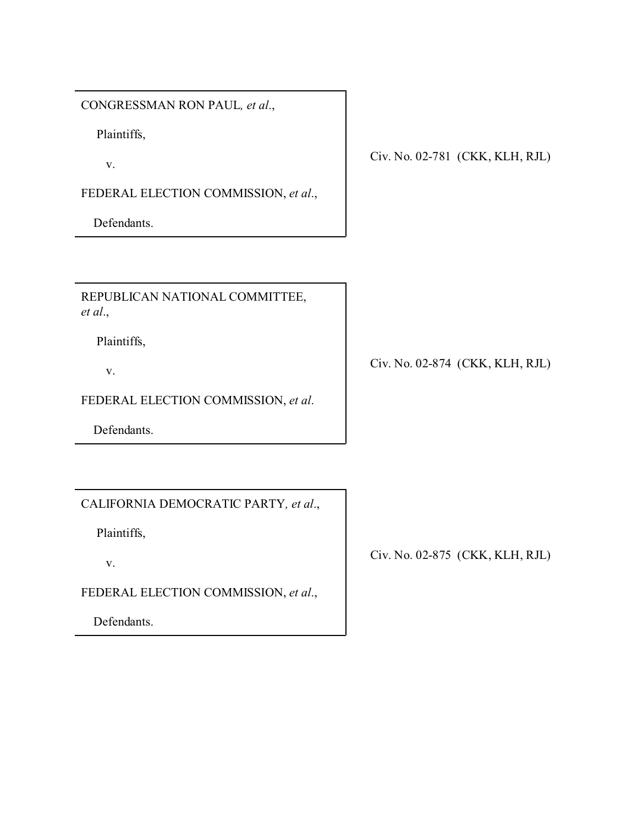CONGRESSMAN RON PAUL*, et al*.,

Plaintiffs,

v.

FEDERAL ELECTION COMMISSION, *et al*.,

Defendants.

Civ. No. 02-781 (CKK, KLH, RJL)

REPUBLICAN NATIONAL COMMITTEE, *et al*.,

Plaintiffs,

v.

FEDERAL ELECTION COMMISSION, *et al*.

Defendants.

CALIFORNIA DEMOCRATIC PARTY*, et al*.,

Plaintiffs,

v.

FEDERAL ELECTION COMMISSION, *et al*.,

Defendants.

Civ. No. 02-874 (CKK, KLH, RJL)

Civ. No. 02-875 (CKK, KLH, RJL)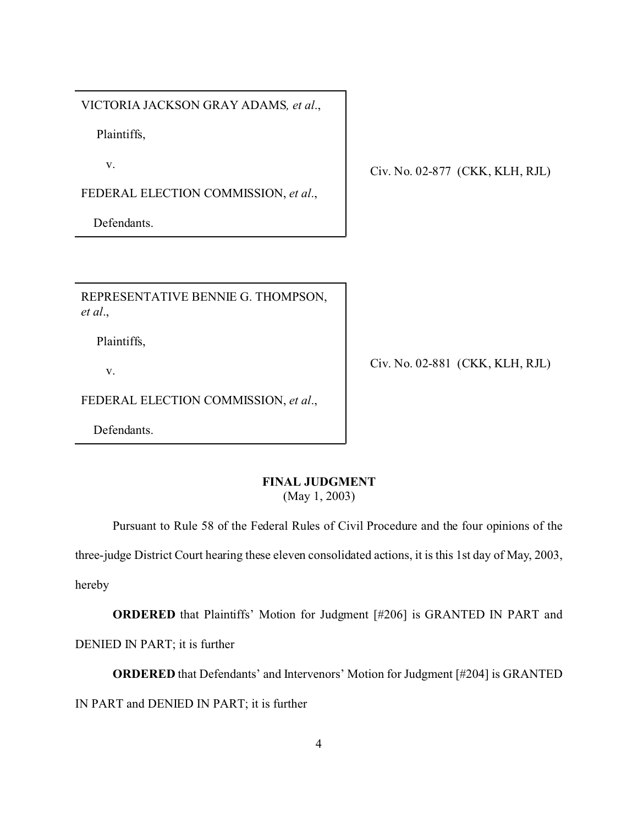VICTORIA JACKSON GRAY ADAMS*, et al*.,

Plaintiffs,

v.

FEDERAL ELECTION COMMISSION, *et al*.,

Defendants.

Civ. No. 02-877 (CKK, KLH, RJL)

REPRESENTATIVE BENNIE G. THOMPSON, *et al*.,

Plaintiffs,

v.

FEDERAL ELECTION COMMISSION, *et al*.,

Defendants.

Civ. No. 02-881 (CKK, KLH, RJL)

## **FINAL JUDGMENT**

(May 1, 2003)

Pursuant to Rule 58 of the Federal Rules of Civil Procedure and the four opinions of the

three-judge District Court hearing these eleven consolidated actions, it is this 1st day of May, 2003,

hereby

**ORDERED** that Plaintiffs' Motion for Judgment [#206] is GRANTED IN PART and DENIED IN PART; it is further

**ORDERED** that Defendants' and Intervenors' Motion for Judgment [#204] is GRANTED IN PART and DENIED IN PART; it is further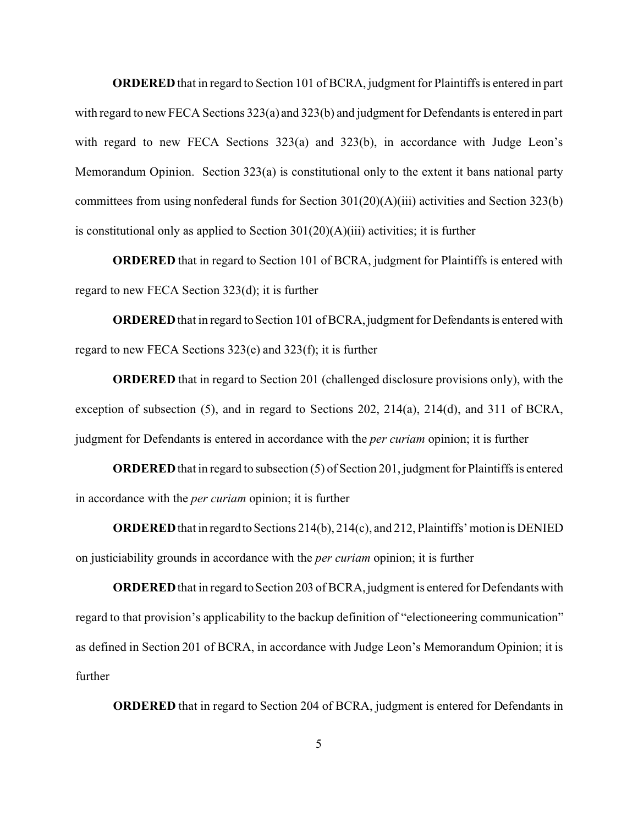**ORDERED**that in regard to Section 101 of BCRA, judgment for Plaintiffs is entered in part with regard to new FECA Sections 323(a) and 323(b) and judgment for Defendants is entered in part with regard to new FECA Sections 323(a) and 323(b), in accordance with Judge Leon's Memorandum Opinion. Section 323(a) is constitutional only to the extent it bans national party committees from using nonfederal funds for Section 301(20)(A)(iii) activities and Section 323(b) is constitutional only as applied to Section  $301(20)(A)(iii)$  activities; it is further

**ORDERED** that in regard to Section 101 of BCRA, judgment for Plaintiffs is entered with regard to new FECA Section 323(d); it is further

**ORDERED** that in regard to Section 101 of BCRA, judgment for Defendants is entered with regard to new FECA Sections 323(e) and 323(f); it is further

**ORDERED** that in regard to Section 201 (challenged disclosure provisions only), with the exception of subsection (5), and in regard to Sections 202, 214(a), 214(d), and 311 of BCRA, judgment for Defendants is entered in accordance with the *per curiam* opinion; it is further

**ORDERED** that in regard to subsection (5) of Section 201, judgment for Plaintiffs is entered in accordance with the *per curiam* opinion; it is further

**ORDERED**that in regardto Sections 214(b), 214(c), and 212, Plaintiffs' motion is DENIED on justiciability grounds in accordance with the *per curiam* opinion; it is further

**ORDERED** that in regard to Section 203 of BCRA, judgment is entered for Defendants with regard to that provision's applicability to the backup definition of "electioneering communication" as defined in Section 201 of BCRA, in accordance with Judge Leon's Memorandum Opinion; it is further

**ORDERED** that in regard to Section 204 of BCRA, judgment is entered for Defendants in